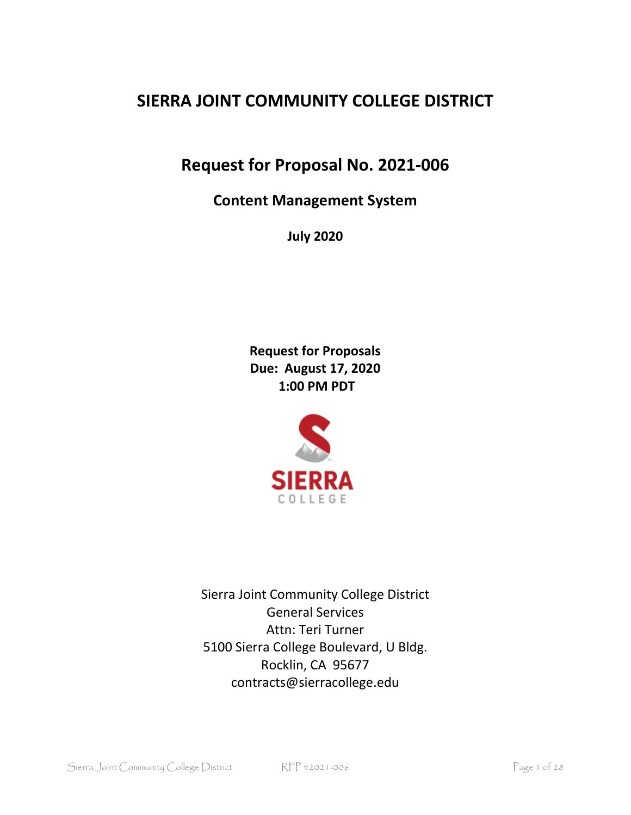# **SIERRA JOINT COMMUNITY COLLEGE DISTRICT**

**Request for Proposal No. 2021-006**

**Content Management System**

**July 2020**

**Request for Proposals Due: August 17, 2020 1:00 PM PDT**



Sierra Joint Community College District General Services Attn: Teri Turner 5100 Sierra College Boulevard, U Bldg. Rocklin, CA 95677 contracts@sierracollege.edu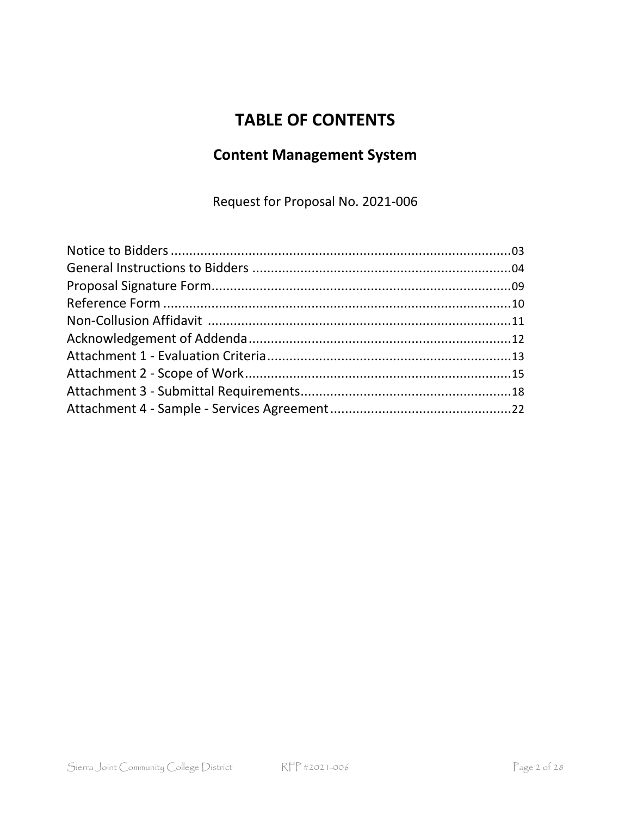# **TABLE OF CONTENTS**

# **Content Management System**

Request for Proposal No. 2021-006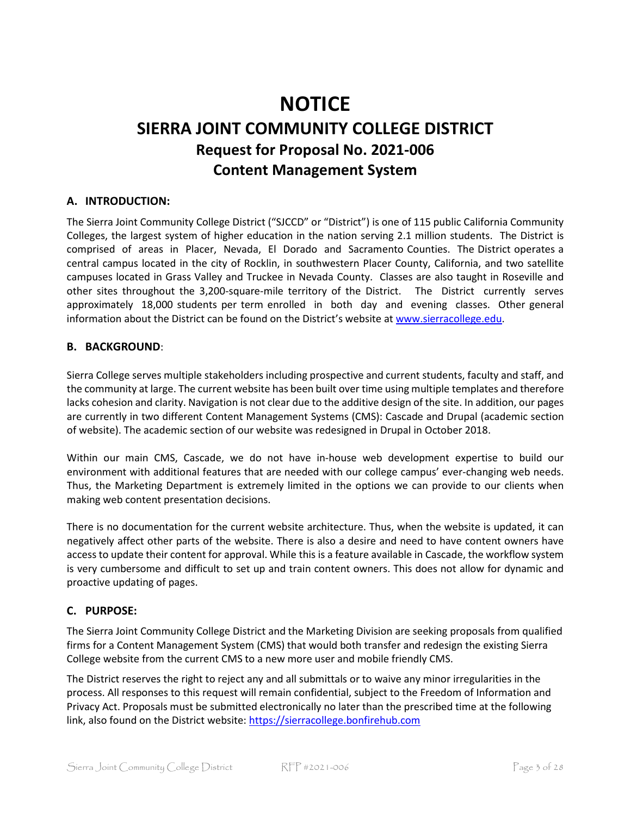# **NOTICE SIERRA JOINT COMMUNITY COLLEGE DISTRICT Request for Proposal No. 2021-006 Content Management System**

### **A. INTRODUCTION:**

The Sierra Joint Community College District ("SJCCD" or "District") is one of 115 public California Community Colleges, the largest system of higher education in the nation serving 2.1 million students. The District is comprised of areas in Placer, Nevada, El Dorado and Sacramento Counties. The District operates a central campus located in the city of Rocklin, in southwestern Placer County, California, and two satellite campuses located in Grass Valley and Truckee in Nevada County. Classes are also taught in Roseville and other sites throughout the 3,200-square-mile territory of the District. The District currently serves approximately 18,000 students per term enrolled in both day and evening classes. Other general information about the District can be found on the District's website at [www.sierracollege.edu.](http://www.sierracollege.edu/)

#### **B. BACKGROUND**:

Sierra College serves multiple stakeholders including prospective and current students, faculty and staff, and the community at large. The current website has been built over time using multiple templates and therefore lacks cohesion and clarity. Navigation is not clear due to the additive design of the site. In addition, our pages are currently in two different Content Management Systems (CMS): Cascade and Drupal (academic section of website). The academic section of our website was redesigned in Drupal in October 2018.

Within our main CMS, Cascade, we do not have in-house web development expertise to build our environment with additional features that are needed with our college campus' ever-changing web needs. Thus, the Marketing Department is extremely limited in the options we can provide to our clients when making web content presentation decisions.

There is no documentation for the current website architecture. Thus, when the website is updated, it can negatively affect other parts of the website. There is also a desire and need to have content owners have access to update their content for approval. While this is a feature available in Cascade, the workflow system is very cumbersome and difficult to set up and train content owners. This does not allow for dynamic and proactive updating of pages.

### **C. PURPOSE:**

The Sierra Joint Community College District and the Marketing Division are seeking proposals from qualified firms for a Content Management System (CMS) that would both transfer and redesign the existing Sierra College website from the current CMS to a new more user and mobile friendly CMS.

The District reserves the right to reject any and all submittals or to waive any minor irregularities in the process. All responses to this request will remain confidential, subject to the Freedom of Information and Privacy Act. Proposals must be submitted electronically no later than the prescribed time at the following link, also found on the District website[: https://sierracollege.bonfirehub.com](https://sierracollege.bonfirehub.com/)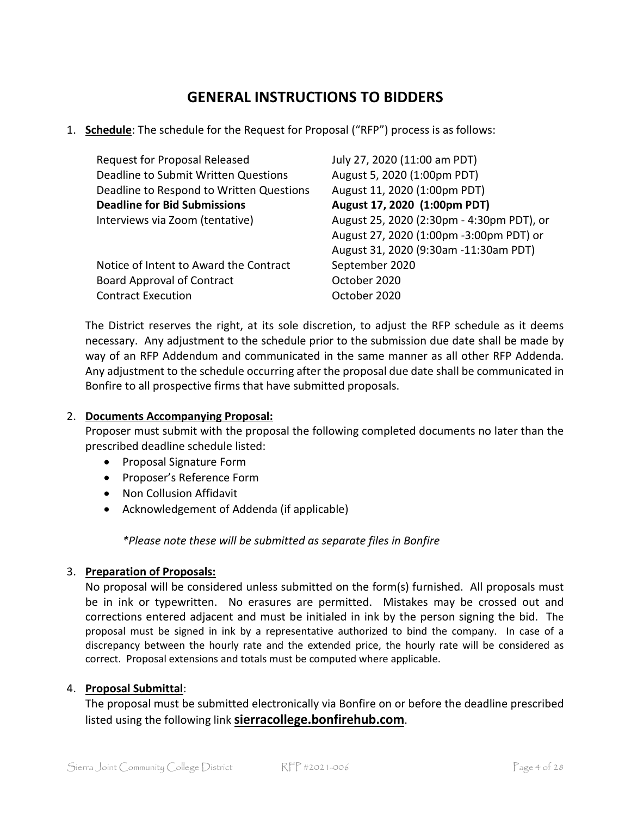# **GENERAL INSTRUCTIONS TO BIDDERS**

1. **Schedule**: The schedule for the Request for Proposal ("RFP") process is as follows:

| <b>Request for Proposal Released</b>     | July 27, 2020 (11:00 am PDT)              |
|------------------------------------------|-------------------------------------------|
| Deadline to Submit Written Questions     | August 5, 2020 (1:00pm PDT)               |
| Deadline to Respond to Written Questions | August 11, 2020 (1:00pm PDT)              |
| <b>Deadline for Bid Submissions</b>      | August 17, 2020 (1:00pm PDT)              |
| Interviews via Zoom (tentative)          | August 25, 2020 (2:30pm - 4:30pm PDT), or |
|                                          | August 27, 2020 (1:00pm -3:00pm PDT) or   |
|                                          | August 31, 2020 (9:30am -11:30am PDT)     |
| Notice of Intent to Award the Contract   | September 2020                            |
| <b>Board Approval of Contract</b>        | October 2020                              |
| <b>Contract Execution</b>                | October 2020                              |

The District reserves the right, at its sole discretion, to adjust the RFP schedule as it deems necessary. Any adjustment to the schedule prior to the submission due date shall be made by way of an RFP Addendum and communicated in the same manner as all other RFP Addenda. Any adjustment to the schedule occurring after the proposal due date shall be communicated in Bonfire to all prospective firms that have submitted proposals.

### 2. **Documents Accompanying Proposal:**

Proposer must submit with the proposal the following completed documents no later than the prescribed deadline schedule listed:

- Proposal Signature Form
- Proposer's Reference Form
- Non Collusion Affidavit
- Acknowledgement of Addenda (if applicable)

*\*Please note these will be submitted as separate files in Bonfire* 

### 3. **Preparation of Proposals:**

No proposal will be considered unless submitted on the form(s) furnished. All proposals must be in ink or typewritten. No erasures are permitted. Mistakes may be crossed out and corrections entered adjacent and must be initialed in ink by the person signing the bid. The proposal must be signed in ink by a representative authorized to bind the company. In case of a discrepancy between the hourly rate and the extended price, the hourly rate will be considered as correct. Proposal extensions and totals must be computed where applicable.

### 4. **Proposal Submittal**:

The proposal must be submitted electronically via Bonfire on or before the deadline prescribed listed using the following link **[sierracollege.bonfirehub.com](https://sierracollege.bonfirehub.com/)**.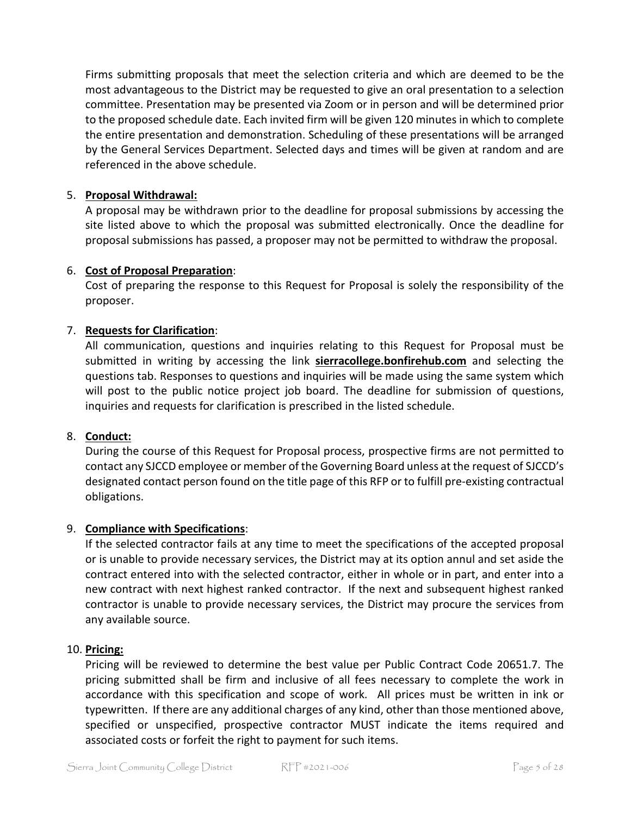Firms submitting proposals that meet the selection criteria and which are deemed to be the most advantageous to the District may be requested to give an oral presentation to a selection committee. Presentation may be presented via Zoom or in person and will be determined prior to the proposed schedule date. Each invited firm will be given 120 minutes in which to complete the entire presentation and demonstration. Scheduling of these presentations will be arranged by the General Services Department. Selected days and times will be given at random and are referenced in the above schedule.

### 5. **Proposal Withdrawal:**

A proposal may be withdrawn prior to the deadline for proposal submissions by accessing the site listed above to which the proposal was submitted electronically. Once the deadline for proposal submissions has passed, a proposer may not be permitted to withdraw the proposal.

### 6. **Cost of Proposal Preparation**:

Cost of preparing the response to this Request for Proposal is solely the responsibility of the proposer.

### 7. **Requests for Clarification**:

All communication, questions and inquiries relating to this Request for Proposal must be submitted in writing by accessing the link **sierracollege.bonfirehub.com** and selecting the questions tab. Responses to questions and inquiries will be made using the same system which will post to the public notice project job board. The deadline for submission of questions, inquiries and requests for clarification is prescribed in the listed schedule.

### 8. **Conduct:**

During the course of this Request for Proposal process, prospective firms are not permitted to contact any SJCCD employee or member of the Governing Board unless at the request of SJCCD's designated contact person found on the title page of this RFP or to fulfill pre-existing contractual obligations.

### 9. **Compliance with Specifications**:

If the selected contractor fails at any time to meet the specifications of the accepted proposal or is unable to provide necessary services, the District may at its option annul and set aside the contract entered into with the selected contractor, either in whole or in part, and enter into a new contract with next highest ranked contractor. If the next and subsequent highest ranked contractor is unable to provide necessary services, the District may procure the services from any available source.

### 10. **Pricing:**

Pricing will be reviewed to determine the best value per Public Contract Code 20651.7. The pricing submitted shall be firm and inclusive of all fees necessary to complete the work in accordance with this specification and scope of work. All prices must be written in ink or typewritten. If there are any additional charges of any kind, other than those mentioned above, specified or unspecified, prospective contractor MUST indicate the items required and associated costs or forfeit the right to payment for such items.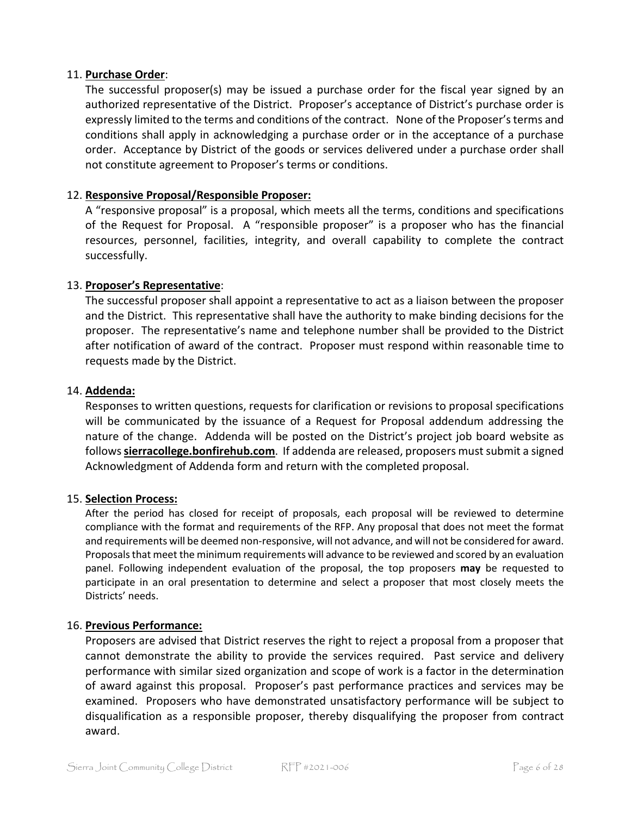### 11. **Purchase Order**:

The successful proposer(s) may be issued a purchase order for the fiscal year signed by an authorized representative of the District. Proposer's acceptance of District's purchase order is expressly limited to the terms and conditions of the contract. None of the Proposer'sterms and conditions shall apply in acknowledging a purchase order or in the acceptance of a purchase order. Acceptance by District of the goods or services delivered under a purchase order shall not constitute agreement to Proposer's terms or conditions.

### 12. **Responsive Proposal/Responsible Proposer:**

A "responsive proposal" is a proposal, which meets all the terms, conditions and specifications of the Request for Proposal. A "responsible proposer" is a proposer who has the financial resources, personnel, facilities, integrity, and overall capability to complete the contract successfully.

### 13. **Proposer's Representative**:

The successful proposer shall appoint a representative to act as a liaison between the proposer and the District. This representative shall have the authority to make binding decisions for the proposer. The representative's name and telephone number shall be provided to the District after notification of award of the contract. Proposer must respond within reasonable time to requests made by the District.

#### 14. **Addenda:**

Responses to written questions, requests for clarification or revisions to proposal specifications will be communicated by the issuance of a Request for Proposal addendum addressing the nature of the change. Addenda will be posted on the District's project job board website as follows**[sierracollege.bonfirehub.com](https://sierracollege.bonfirehub.com/)**. If addenda are released, proposers must submit a signed Acknowledgment of Addenda form and return with the completed proposal.

#### 15. **Selection Process:**

After the period has closed for receipt of proposals, each proposal will be reviewed to determine compliance with the format and requirements of the RFP. Any proposal that does not meet the format and requirements will be deemed non-responsive, will not advance, and will not be considered for award. Proposals that meet the minimum requirements will advance to be reviewed and scored by an evaluation panel. Following independent evaluation of the proposal, the top proposers **may** be requested to participate in an oral presentation to determine and select a proposer that most closely meets the Districts' needs.

#### 16. **Previous Performance:**

Proposers are advised that District reserves the right to reject a proposal from a proposer that cannot demonstrate the ability to provide the services required. Past service and delivery performance with similar sized organization and scope of work is a factor in the determination of award against this proposal. Proposer's past performance practices and services may be examined. Proposers who have demonstrated unsatisfactory performance will be subject to disqualification as a responsible proposer, thereby disqualifying the proposer from contract award.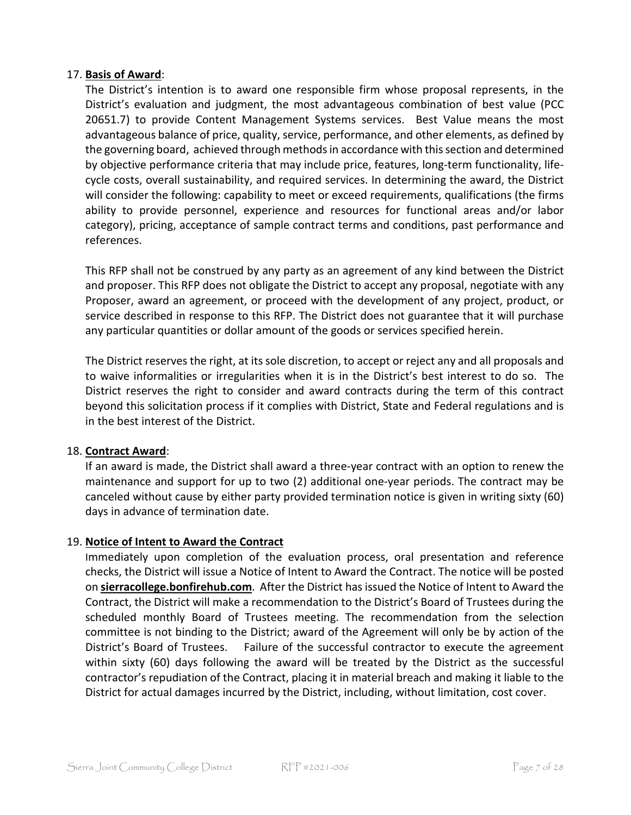### 17. **Basis of Award**:

The District's intention is to award one responsible firm whose proposal represents, in the District's evaluation and judgment, the most advantageous combination of best value (PCC 20651.7) to provide Content Management Systems services. Best Value means the most advantageous balance of price, quality, service, performance, and other elements, as defined by the governing board, achieved through methods in accordance with this section and determined by objective performance criteria that may include price, features, long-term functionality, lifecycle costs, overall sustainability, and required services. In determining the award, the District will consider the following: capability to meet or exceed requirements, qualifications (the firms ability to provide personnel, experience and resources for functional areas and/or labor category), pricing, acceptance of sample contract terms and conditions, past performance and references.

This RFP shall not be construed by any party as an agreement of any kind between the District and proposer. This RFP does not obligate the District to accept any proposal, negotiate with any Proposer, award an agreement, or proceed with the development of any project, product, or service described in response to this RFP. The District does not guarantee that it will purchase any particular quantities or dollar amount of the goods or services specified herein.

The District reserves the right, at its sole discretion, to accept or reject any and all proposals and to waive informalities or irregularities when it is in the District's best interest to do so. The District reserves the right to consider and award contracts during the term of this contract beyond this solicitation process if it complies with District, State and Federal regulations and is in the best interest of the District.

### 18. **Contract Award**:

If an award is made, the District shall award a three-year contract with an option to renew the maintenance and support for up to two (2) additional one-year periods. The contract may be canceled without cause by either party provided termination notice is given in writing sixty (60) days in advance of termination date.

### 19. **Notice of Intent to Award the Contract**

Immediately upon completion of the evaluation process, oral presentation and reference checks, the District will issue a Notice of Intent to Award the Contract. The notice will be posted on **sierracollege.bonfirehub.com**. After the District has issued the Notice of Intent to Award the Contract, the District will make a recommendation to the District's Board of Trustees during the scheduled monthly Board of Trustees meeting. The recommendation from the selection committee is not binding to the District; award of the Agreement will only be by action of the District's Board of Trustees. Failure of the successful contractor to execute the agreement within sixty (60) days following the award will be treated by the District as the successful contractor's repudiation of the Contract, placing it in material breach and making it liable to the District for actual damages incurred by the District, including, without limitation, cost cover.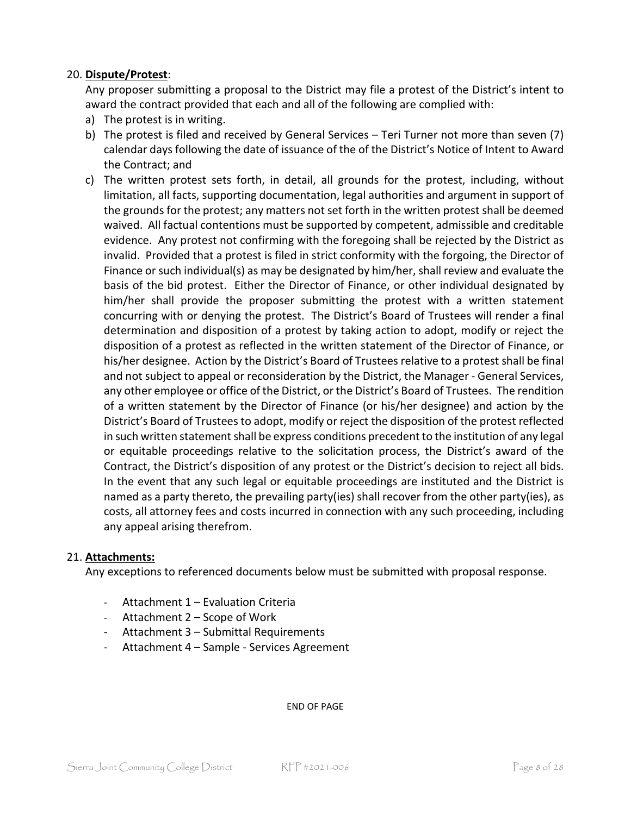### 20. **Dispute/Protest**:

Any proposer submitting a proposal to the District may file a protest of the District's intent to award the contract provided that each and all of the following are complied with:

- a) The protest is in writing.
- b) The protest is filed and received by General Services Teri Turner not more than seven (7) calendar days following the date of issuance of the of the District's Notice of Intent to Award the Contract; and
- c) The written protest sets forth, in detail, all grounds for the protest, including, without limitation, all facts, supporting documentation, legal authorities and argument in support of the grounds for the protest; any matters not set forth in the written protest shall be deemed waived. All factual contentions must be supported by competent, admissible and creditable evidence. Any protest not confirming with the foregoing shall be rejected by the District as invalid. Provided that a protest is filed in strict conformity with the forgoing, the Director of Finance or such individual(s) as may be designated by him/her, shall review and evaluate the basis of the bid protest. Either the Director of Finance, or other individual designated by him/her shall provide the proposer submitting the protest with a written statement concurring with or denying the protest. The District's Board of Trustees will render a final determination and disposition of a protest by taking action to adopt, modify or reject the disposition of a protest as reflected in the written statement of the Director of Finance, or his/her designee. Action by the District's Board of Trustees relative to a protest shall be final and not subject to appeal or reconsideration by the District, the Manager - General Services, any other employee or office of the District, or the District's Board of Trustees. The rendition of a written statement by the Director of Finance (or his/her designee) and action by the District's Board of Trustees to adopt, modify or reject the disposition of the protest reflected in such written statement shall be express conditions precedent to the institution of any legal or equitable proceedings relative to the solicitation process, the District's award of the Contract, the District's disposition of any protest or the District's decision to reject all bids. In the event that any such legal or equitable proceedings are instituted and the District is named as a party thereto, the prevailing party(ies) shall recover from the other party(ies), as costs, all attorney fees and costs incurred in connection with any such proceeding, including any appeal arising therefrom.

### 21. **Attachments:**

Any exceptions to referenced documents below must be submitted with proposal response.

- Attachment 1 Evaluation Criteria
- Attachment 2 Scope of Work
- Attachment 3 Submittal Requirements
- Attachment 4 Sample Services Agreement

END OF PAGE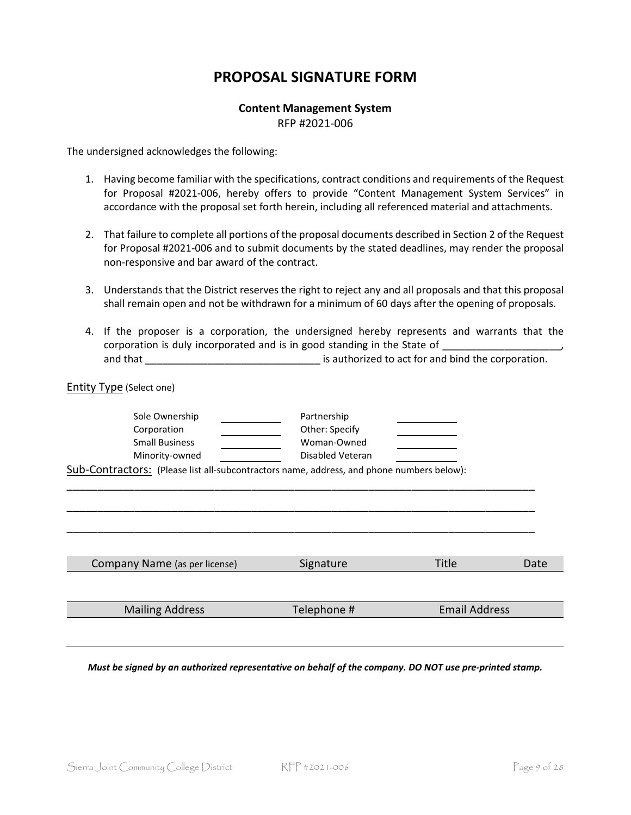### **PROPOSAL SIGNATURE FORM**

# **Content Management System**

RFP #2021-006

The undersigned acknowledges the following:

- 1. Having become familiar with the specifications, contract conditions and requirements of the Request for Proposal #2021-006, hereby offers to provide "Content Management System Services" in accordance with the proposal set forth herein, including all referenced material and attachments.
- 2. That failure to complete all portions of the proposal documents described in Section 2 of the Request for Proposal #2021-006 and to submit documents by the stated deadlines, may render the proposal non-responsive and bar award of the contract.
- 3. Understands that the District reserves the right to reject any and all proposals and that this proposal shall remain open and not be withdrawn for a minimum of 60 days after the opening of proposals.
- 4. If the proposer is a corporation, the undersigned hereby represents and warrants that the corporation is duly incorporated and is in good standing in the State of \_ and that \_\_\_\_\_\_\_\_\_\_\_\_\_\_\_\_\_\_\_\_\_\_\_\_\_\_\_\_\_\_\_ is authorized to act for and bind the corporation.

| <b>Entity Type (Select one)</b>                                                           |                  |                      |      |
|-------------------------------------------------------------------------------------------|------------------|----------------------|------|
| Sole Ownership                                                                            | Partnership      |                      |      |
| Corporation                                                                               | Other: Specify   |                      |      |
| <b>Small Business</b>                                                                     | Woman-Owned      |                      |      |
| Minority-owned                                                                            | Disabled Veteran |                      |      |
| Sub-Contractors: (Please list all-subcontractors name, address, and phone numbers below): |                  |                      |      |
|                                                                                           |                  |                      |      |
|                                                                                           |                  |                      |      |
|                                                                                           |                  |                      |      |
|                                                                                           |                  |                      |      |
|                                                                                           |                  |                      |      |
|                                                                                           |                  |                      |      |
| Company Name (as per license)                                                             | Signature        | <b>Title</b>         | Date |
|                                                                                           |                  |                      |      |
|                                                                                           |                  |                      |      |
| <b>Mailing Address</b>                                                                    | Telephone #      | <b>Email Address</b> |      |
|                                                                                           |                  |                      |      |
|                                                                                           |                  |                      |      |

*Must be signed by an authorized representative on behalf of the company. DO NOT use pre-printed stamp.*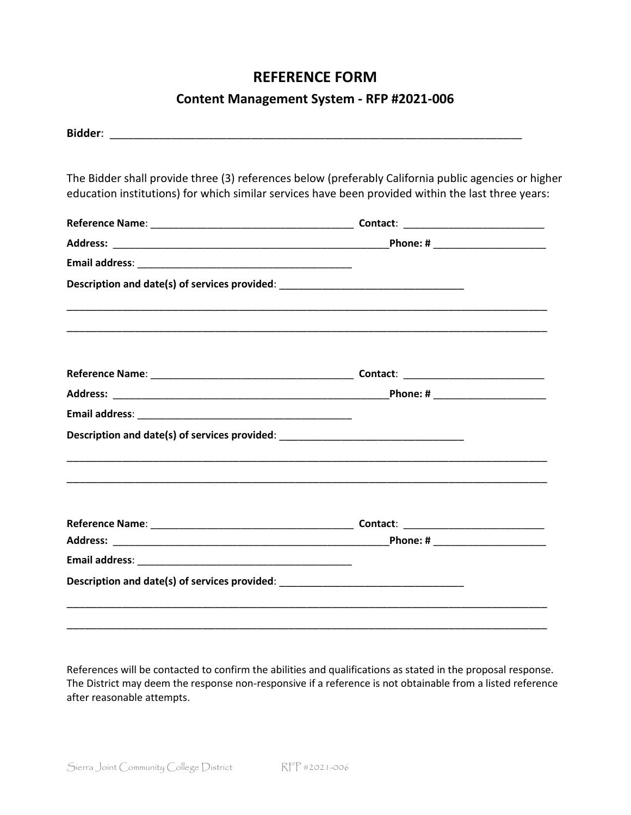### **REFERENCE FORM**

### **Content Management System - RFP #2021-006**

| The Bidder shall provide three (3) references below (preferably California public agencies or higher |  |
|------------------------------------------------------------------------------------------------------|--|
| education institutions) for which similar services have been provided within the last three years:   |  |
|                                                                                                      |  |
|                                                                                                      |  |
|                                                                                                      |  |
| Description and date(s) of services provided: __________________________________                     |  |
|                                                                                                      |  |
|                                                                                                      |  |
|                                                                                                      |  |
|                                                                                                      |  |
| Description and date(s) of services provided: __________________________________                     |  |
|                                                                                                      |  |
|                                                                                                      |  |
|                                                                                                      |  |
|                                                                                                      |  |
| Description and date(s) of services provided: __________________________________                     |  |
|                                                                                                      |  |

References will be contacted to confirm the abilities and qualifications as stated in the proposal response. The District may deem the response non-responsive if a reference is not obtainable from a listed reference after reasonable attempts.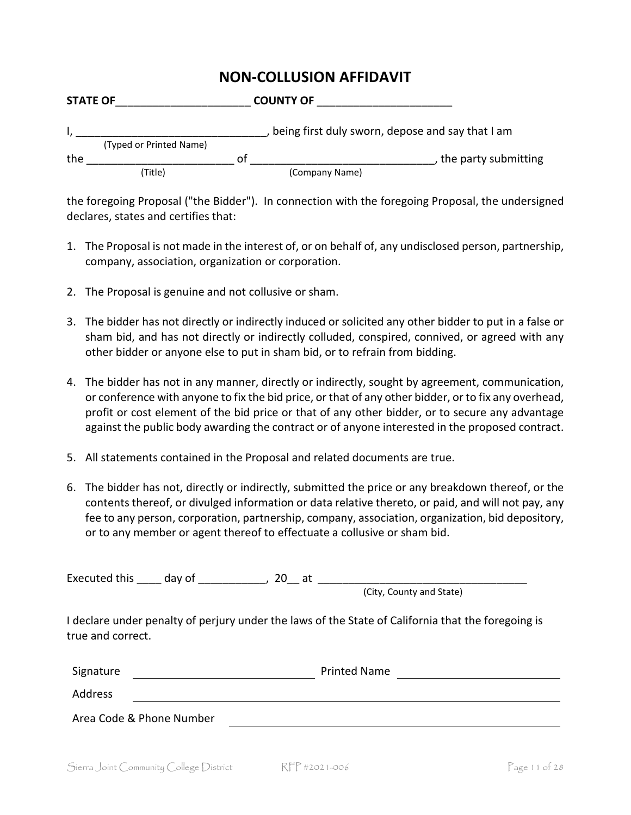### **NON-COLLUSION AFFIDAVIT**

| <b>STATE OF</b> |                         |    | <b>COUNTY OF</b>                                 |                        |
|-----------------|-------------------------|----|--------------------------------------------------|------------------------|
|                 |                         |    | being first duly sworn, depose and say that I am |                        |
|                 | (Typed or Printed Name) |    |                                                  |                        |
| the             |                         | Ωt |                                                  | , the party submitting |
|                 | (Title)                 |    | (Company Name)                                   |                        |

the foregoing Proposal ("the Bidder"). In connection with the foregoing Proposal, the undersigned declares, states and certifies that:

- 1. The Proposal is not made in the interest of, or on behalf of, any undisclosed person, partnership, company, association, organization or corporation.
- 2. The Proposal is genuine and not collusive or sham.
- 3. The bidder has not directly or indirectly induced or solicited any other bidder to put in a false or sham bid, and has not directly or indirectly colluded, conspired, connived, or agreed with any other bidder or anyone else to put in sham bid, or to refrain from bidding.
- 4. The bidder has not in any manner, directly or indirectly, sought by agreement, communication, or conference with anyone to fix the bid price, or that of any other bidder, or to fix any overhead, profit or cost element of the bid price or that of any other bidder, or to secure any advantage against the public body awarding the contract or of anyone interested in the proposed contract.
- 5. All statements contained in the Proposal and related documents are true.
- 6. The bidder has not, directly or indirectly, submitted the price or any breakdown thereof, or the contents thereof, or divulged information or data relative thereto, or paid, and will not pay, any fee to any person, corporation, partnership, company, association, organization, bid depository, or to any member or agent thereof to effectuate a collusive or sham bid.

|                          | Executed this day of fig. | $20$ at $\overline{\phantom{0}}$                                                                   |  |
|--------------------------|---------------------------|----------------------------------------------------------------------------------------------------|--|
|                          |                           | (City, County and State)                                                                           |  |
| true and correct.        |                           | I declare under penalty of perjury under the laws of the State of California that the foregoing is |  |
| Signature                |                           | <b>Printed Name</b>                                                                                |  |
| Address                  |                           |                                                                                                    |  |
| Area Code & Phone Number |                           |                                                                                                    |  |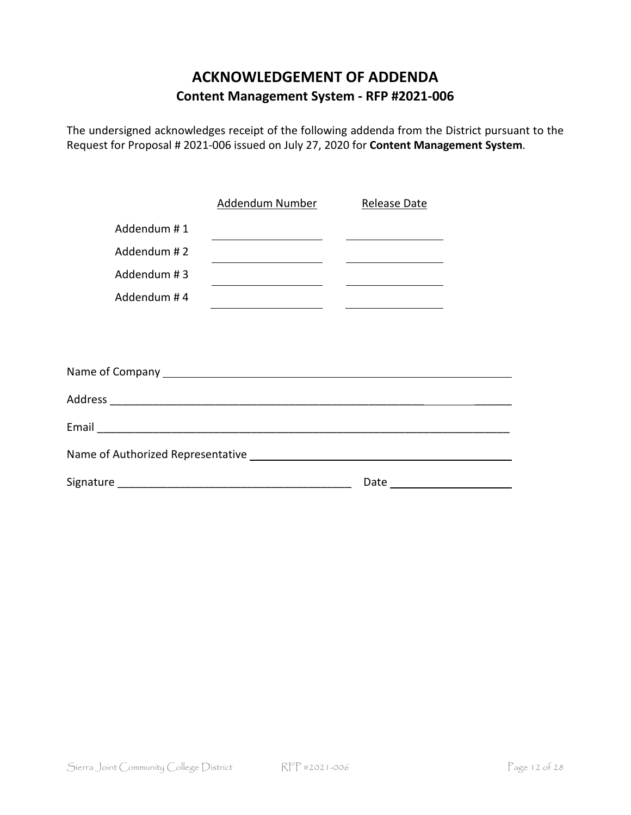## **ACKNOWLEDGEMENT OF ADDENDA Content Management System - RFP #2021-006**

The undersigned acknowledges receipt of the following addenda from the District pursuant to the Request for Proposal # 2021-006 issued on July 27, 2020 for **Content Management System**.

|             | Addendum Number                                                    | Release Date                                                                                                           |  |  |
|-------------|--------------------------------------------------------------------|------------------------------------------------------------------------------------------------------------------------|--|--|
| Addendum #1 |                                                                    | <u> 1989 - Johann Barnett, fransk politiker (d. 1989)</u>                                                              |  |  |
| Addendum #2 |                                                                    | <u> 1989 - Johann Barnett, fransk politik (d. 1989)</u>                                                                |  |  |
| Addendum #3 |                                                                    | <u> 1980 - Johann John Stein, fransk politik (d. 1980)</u>                                                             |  |  |
| Addendum #4 | <u> 1989 - Johann Barn, mars eta bainar eta idazlea (h. 1989).</u> | <u> Listen von der Stadt und der Stadt und der Stadt und der Stadt und der Stadt und der Stadt und der Stadt und d</u> |  |  |
|             |                                                                    |                                                                                                                        |  |  |
|             |                                                                    |                                                                                                                        |  |  |
|             |                                                                    |                                                                                                                        |  |  |
|             |                                                                    |                                                                                                                        |  |  |
|             |                                                                    |                                                                                                                        |  |  |
|             |                                                                    |                                                                                                                        |  |  |
|             |                                                                    |                                                                                                                        |  |  |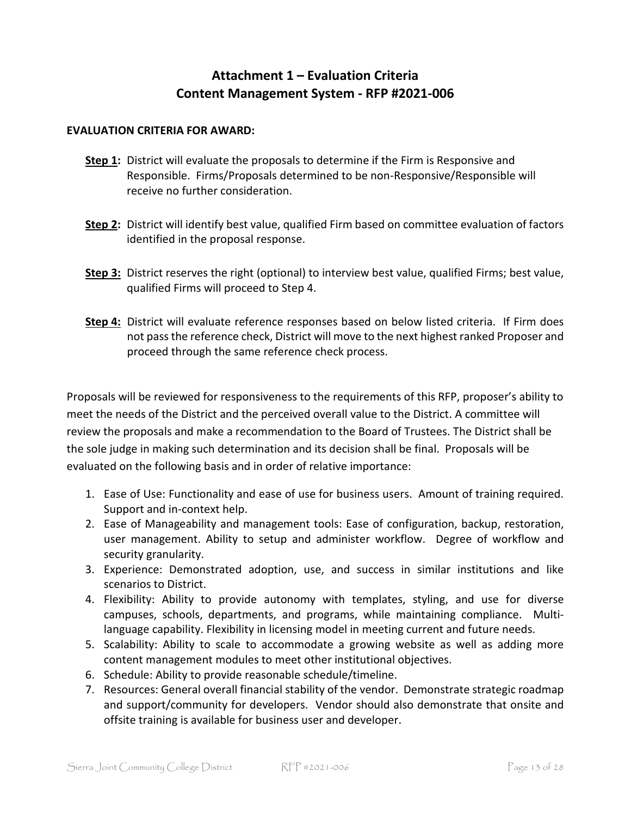### **Attachment 1 – Evaluation Criteria Content Management System - RFP #2021-006**

### **EVALUATION CRITERIA FOR AWARD:**

- **Step 1:** District will evaluate the proposals to determine if the Firm is Responsive and Responsible. Firms/Proposals determined to be non-Responsive/Responsible will receive no further consideration.
- **Step 2:** District will identify best value, qualified Firm based on committee evaluation of factors identified in the proposal response.
- **Step 3:** District reserves the right (optional) to interview best value, qualified Firms; best value, qualified Firms will proceed to Step 4.
- **Step 4:** District will evaluate reference responses based on below listed criteria. If Firm does not pass the reference check, District will move to the next highest ranked Proposer and proceed through the same reference check process.

Proposals will be reviewed for responsiveness to the requirements of this RFP, proposer's ability to meet the needs of the District and the perceived overall value to the District. A committee will review the proposals and make a recommendation to the Board of Trustees. The District shall be the sole judge in making such determination and its decision shall be final. Proposals will be evaluated on the following basis and in order of relative importance:

- 1. Ease of Use: Functionality and ease of use for business users. Amount of training required. Support and in-context help.
- 2. Ease of Manageability and management tools: Ease of configuration, backup, restoration, user management. Ability to setup and administer workflow. Degree of workflow and security granularity.
- 3. Experience: Demonstrated adoption, use, and success in similar institutions and like scenarios to District.
- 4. Flexibility: Ability to provide autonomy with templates, styling, and use for diverse campuses, schools, departments, and programs, while maintaining compliance. Multilanguage capability. Flexibility in licensing model in meeting current and future needs.
- 5. Scalability: Ability to scale to accommodate a growing website as well as adding more content management modules to meet other institutional objectives.
- 6. Schedule: Ability to provide reasonable schedule/timeline.
- 7. Resources: General overall financial stability of the vendor. Demonstrate strategic roadmap and support/community for developers. Vendor should also demonstrate that onsite and offsite training is available for business user and developer.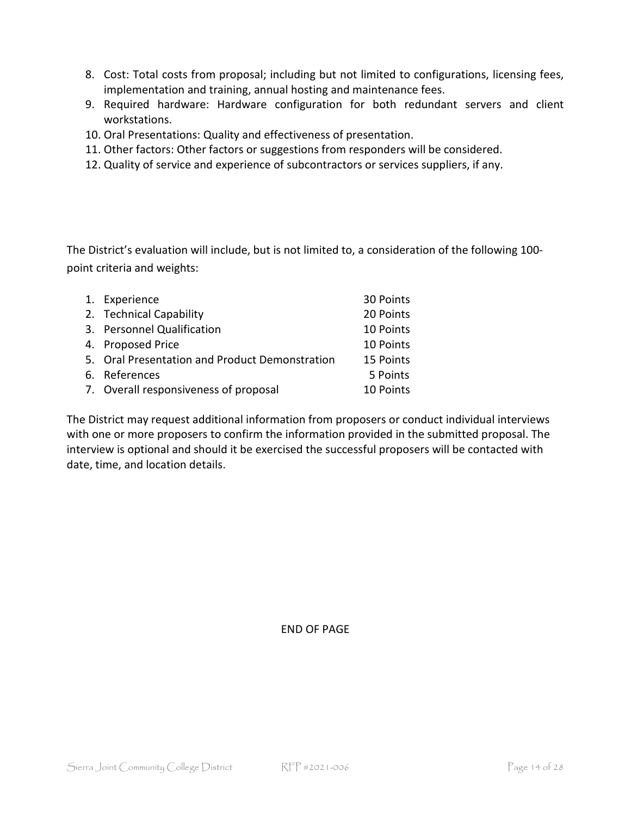- 8. Cost: Total costs from proposal; including but not limited to configurations, licensing fees, implementation and training, annual hosting and maintenance fees.
- 9. Required hardware: Hardware configuration for both redundant servers and client workstations.
- 10. Oral Presentations: Quality and effectiveness of presentation.
- 11. Other factors: Other factors or suggestions from responders will be considered.
- 12. Quality of service and experience of subcontractors or services suppliers, if any.

The District's evaluation will include, but is not limited to, a consideration of the following 100 point criteria and weights:

| 1. Experience                                  | 30 Points |
|------------------------------------------------|-----------|
| 2. Technical Capability                        | 20 Points |
| 3. Personnel Qualification                     | 10 Points |
| 4. Proposed Price                              | 10 Points |
| 5. Oral Presentation and Product Demonstration | 15 Points |
| 6. References                                  | 5 Points  |
| 7. Overall responsiveness of proposal          | 10 Points |

The District may request additional information from proposers or conduct individual interviews with one or more proposers to confirm the information provided in the submitted proposal. The interview is optional and should it be exercised the successful proposers will be contacted with date, time, and location details.

END OF PAGE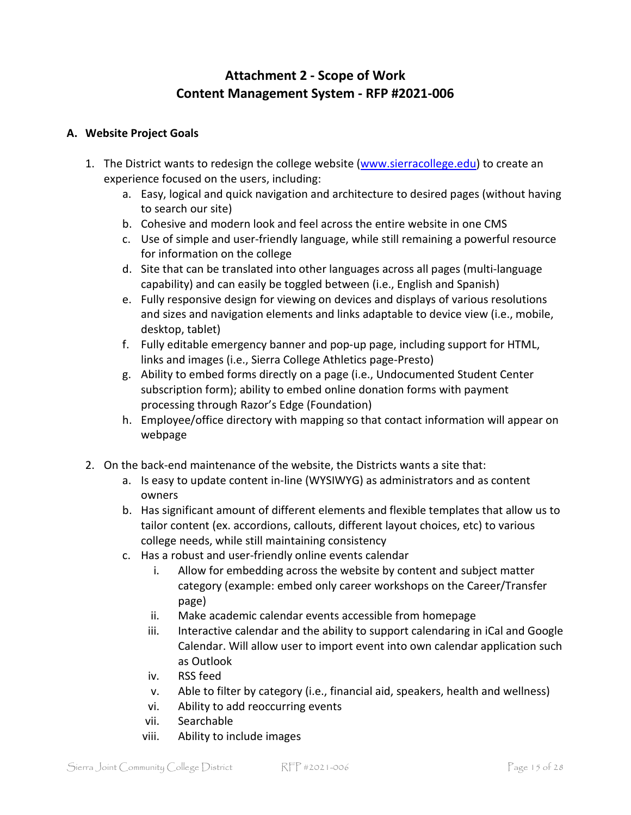### **Attachment 2 - Scope of Work Content Management System - RFP #2021-006**

### **A. Website Project Goals**

- 1. The District wants to redesign the college website [\(www.sierracollege.edu\)](http://www.sierracollege.edu/) to create an experience focused on the users, including:
	- a. Easy, logical and quick navigation and architecture to desired pages (without having to search our site)
	- b. Cohesive and modern look and feel across the entire website in one CMS
	- c. Use of simple and user-friendly language, while still remaining a powerful resource for information on the college
	- d. Site that can be translated into other languages across all pages (multi-language capability) and can easily be toggled between (i.e., English and Spanish)
	- e. Fully responsive design for viewing on devices and displays of various resolutions and sizes and navigation elements and links adaptable to device view (i.e., mobile, desktop, tablet)
	- f. Fully editable emergency banner and pop-up page, including support for HTML, links and images (i.e., Sierra College Athletics page-Presto)
	- g. Ability to embed forms directly on a page (i.e., Undocumented Student Center subscription form); ability to embed online donation forms with payment processing through Razor's Edge (Foundation)
	- h. Employee/office directory with mapping so that contact information will appear on webpage
- 2. On the back-end maintenance of the website, the Districts wants a site that:
	- a. Is easy to update content in-line (WYSIWYG) as administrators and as content owners
	- b. Has significant amount of different elements and flexible templates that allow us to tailor content (ex. accordions, callouts, different layout choices, etc) to various college needs, while still maintaining consistency
	- c. Has a robust and user-friendly online events calendar
		- i. Allow for embedding across the website by content and subject matter category (example: embed only career workshops on the Career/Transfer page)
		- ii. Make academic calendar events accessible from homepage
		- iii. Interactive calendar and the ability to support calendaring in iCal and Google Calendar. Will allow user to import event into own calendar application such as Outlook
		- iv. RSS feed
		- v. Able to filter by category (i.e., financial aid, speakers, health and wellness)
		- vi. Ability to add reoccurring events
		- vii. Searchable
		- viii. Ability to include images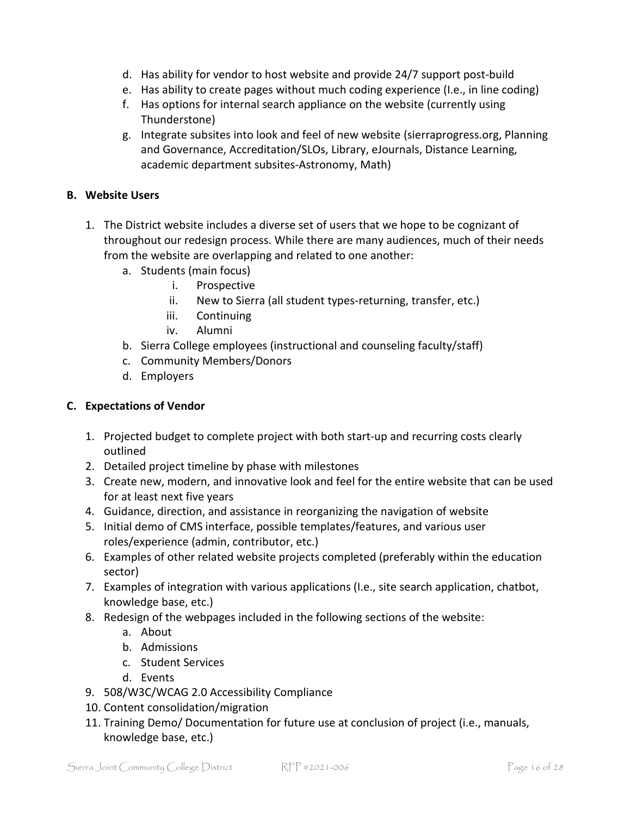- d. Has ability for vendor to host website and provide 24/7 support post-build
- e. Has ability to create pages without much coding experience (I.e., in line coding)
- f. Has options for internal search appliance on the website (currently using Thunderstone)
- g. Integrate subsites into look and feel of new website (sierraprogress.org, Planning and Governance, Accreditation/SLOs, Library, eJournals, Distance Learning, academic department subsites-Astronomy, Math)

### **B. Website Users**

- 1. The District website includes a diverse set of users that we hope to be cognizant of throughout our redesign process. While there are many audiences, much of their needs from the website are overlapping and related to one another:
	- a. Students (main focus)
		- i. Prospective
		- ii. New to Sierra (all student types-returning, transfer, etc.)
		- iii. Continuing
		- iv. Alumni
	- b. Sierra College employees (instructional and counseling faculty/staff)
	- c. Community Members/Donors
	- d. Employers

### **C. Expectations of Vendor**

- 1. Projected budget to complete project with both start-up and recurring costs clearly outlined
- 2. Detailed project timeline by phase with milestones
- 3. Create new, modern, and innovative look and feel for the entire website that can be used for at least next five years
- 4. Guidance, direction, and assistance in reorganizing the navigation of website
- 5. Initial demo of CMS interface, possible templates/features, and various user roles/experience (admin, contributor, etc.)
- 6. Examples of other related website projects completed (preferably within the education sector)
- 7. Examples of integration with various applications (I.e., site search application, chatbot, knowledge base, etc.)
- 8. Redesign of the webpages included in the following sections of the website:
	- a. About
	- b. Admissions
	- c. Student Services
	- d. Events
- 9. 508/W3C/WCAG 2.0 Accessibility Compliance
- 10. Content consolidation/migration
- 11. Training Demo/ Documentation for future use at conclusion of project (i.e., manuals, knowledge base, etc.)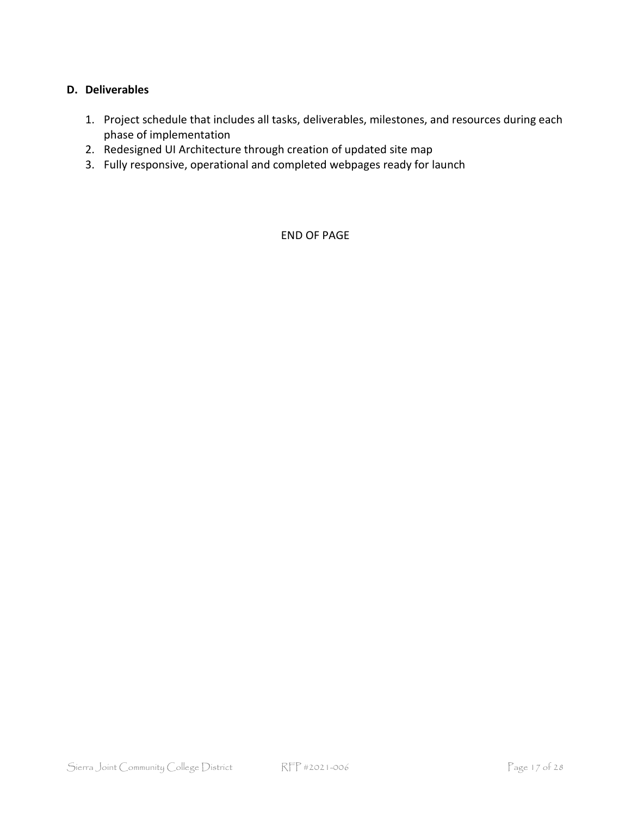### **D. Deliverables**

- 1. Project schedule that includes all tasks, deliverables, milestones, and resources during each phase of implementation
- 2. Redesigned UI Architecture through creation of updated site map
- 3. Fully responsive, operational and completed webpages ready for launch

END OF PAGE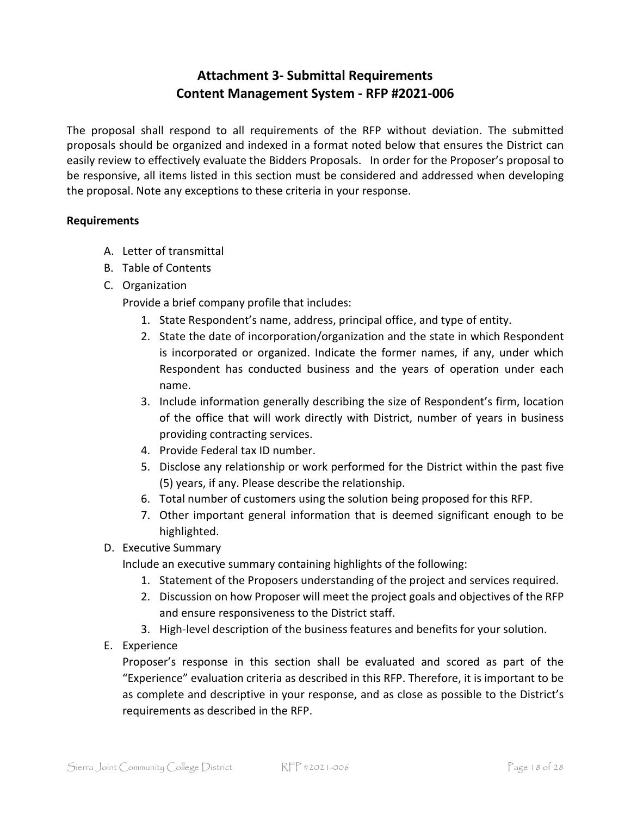### **Attachment 3- Submittal Requirements Content Management System - RFP #2021-006**

The proposal shall respond to all requirements of the RFP without deviation. The submitted proposals should be organized and indexed in a format noted below that ensures the District can easily review to effectively evaluate the Bidders Proposals. In order for the Proposer's proposal to be responsive, all items listed in this section must be considered and addressed when developing the proposal. Note any exceptions to these criteria in your response.

### **Requirements**

- A. Letter of transmittal
- B. Table of Contents
- C. Organization

Provide a brief company profile that includes:

- 1. State Respondent's name, address, principal office, and type of entity.
- 2. State the date of incorporation/organization and the state in which Respondent is incorporated or organized. Indicate the former names, if any, under which Respondent has conducted business and the years of operation under each name.
- 3. Include information generally describing the size of Respondent's firm, location of the office that will work directly with District, number of years in business providing contracting services.
- 4. Provide Federal tax ID number.
- 5. Disclose any relationship or work performed for the District within the past five (5) years, if any. Please describe the relationship.
- 6. Total number of customers using the solution being proposed for this RFP.
- 7. Other important general information that is deemed significant enough to be highlighted.
- D. Executive Summary

Include an executive summary containing highlights of the following:

- 1. Statement of the Proposers understanding of the project and services required.
- 2. Discussion on how Proposer will meet the project goals and objectives of the RFP and ensure responsiveness to the District staff.
- 3. High-level description of the business features and benefits for your solution.
- E. Experience

Proposer's response in this section shall be evaluated and scored as part of the "Experience" evaluation criteria as described in this RFP. Therefore, it is important to be as complete and descriptive in your response, and as close as possible to the District's requirements as described in the RFP.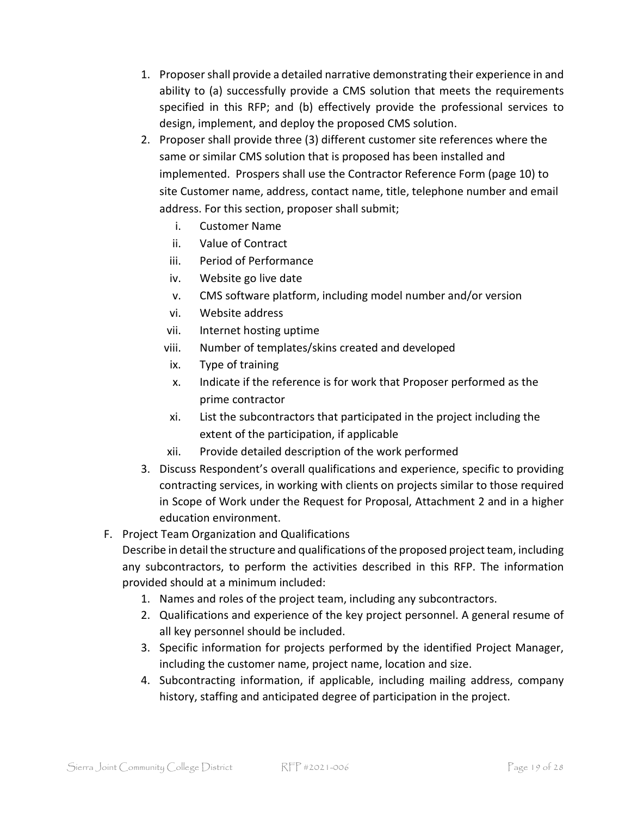- 1. Proposer shall provide a detailed narrative demonstrating their experience in and ability to (a) successfully provide a CMS solution that meets the requirements specified in this RFP; and (b) effectively provide the professional services to design, implement, and deploy the proposed CMS solution.
- 2. Proposer shall provide three (3) different customer site references where the same or similar CMS solution that is proposed has been installed and implemented. Prospers shall use the Contractor Reference Form (page 10) to site Customer name, address, contact name, title, telephone number and email address. For this section, proposer shall submit;
	- i. Customer Name
	- ii. Value of Contract
	- iii. Period of Performance
	- iv. Website go live date
	- v. CMS software platform, including model number and/or version
	- vi. Website address
	- vii. Internet hosting uptime
	- viii. Number of templates/skins created and developed
	- ix. Type of training
	- x. Indicate if the reference is for work that Proposer performed as the prime contractor
	- xi. List the subcontractors that participated in the project including the extent of the participation, if applicable
	- xii. Provide detailed description of the work performed
- 3. Discuss Respondent's overall qualifications and experience, specific to providing contracting services, in working with clients on projects similar to those required in Scope of Work under the Request for Proposal, Attachment 2 and in a higher education environment.

### F. Project Team Organization and Qualifications

Describe in detail the structure and qualifications of the proposed project team, including any subcontractors, to perform the activities described in this RFP. The information provided should at a minimum included:

- 1. Names and roles of the project team, including any subcontractors.
- 2. Qualifications and experience of the key project personnel. A general resume of all key personnel should be included.
- 3. Specific information for projects performed by the identified Project Manager, including the customer name, project name, location and size.
- 4. Subcontracting information, if applicable, including mailing address, company history, staffing and anticipated degree of participation in the project.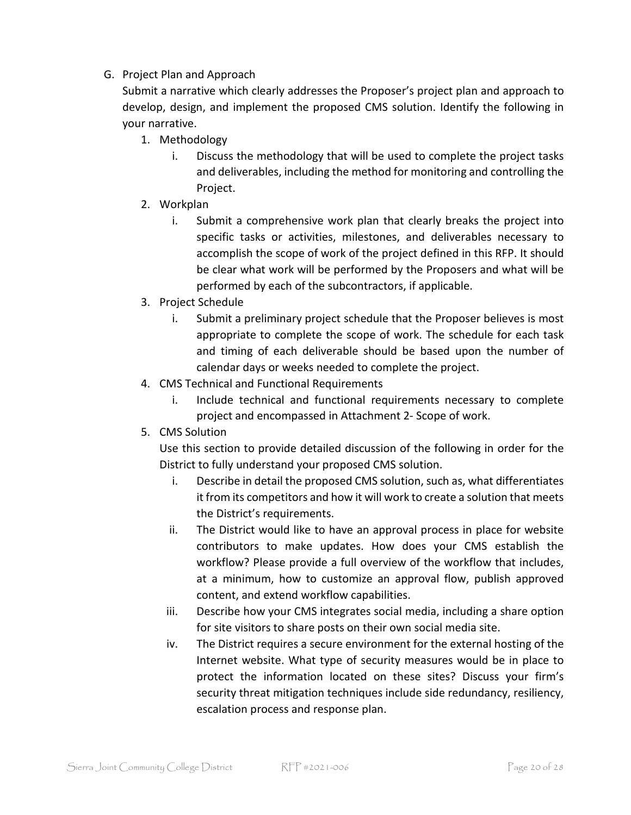### G. Project Plan and Approach

Submit a narrative which clearly addresses the Proposer's project plan and approach to develop, design, and implement the proposed CMS solution. Identify the following in your narrative.

- 1. Methodology
	- i. Discuss the methodology that will be used to complete the project tasks and deliverables, including the method for monitoring and controlling the Project.
- 2. Workplan
	- i. Submit a comprehensive work plan that clearly breaks the project into specific tasks or activities, milestones, and deliverables necessary to accomplish the scope of work of the project defined in this RFP. It should be clear what work will be performed by the Proposers and what will be performed by each of the subcontractors, if applicable.
- 3. Project Schedule
	- i. Submit a preliminary project schedule that the Proposer believes is most appropriate to complete the scope of work. The schedule for each task and timing of each deliverable should be based upon the number of calendar days or weeks needed to complete the project.
- 4. CMS Technical and Functional Requirements
	- i. Include technical and functional requirements necessary to complete project and encompassed in Attachment 2- Scope of work.
- 5. CMS Solution

Use this section to provide detailed discussion of the following in order for the District to fully understand your proposed CMS solution.

- i. Describe in detail the proposed CMS solution, such as, what differentiates it from its competitors and how it will work to create a solution that meets the District's requirements.
- ii. The District would like to have an approval process in place for website contributors to make updates. How does your CMS establish the workflow? Please provide a full overview of the workflow that includes, at a minimum, how to customize an approval flow, publish approved content, and extend workflow capabilities.
- iii. Describe how your CMS integrates social media, including a share option for site visitors to share posts on their own social media site.
- iv. The District requires a secure environment for the external hosting of the Internet website. What type of security measures would be in place to protect the information located on these sites? Discuss your firm's security threat mitigation techniques include side redundancy, resiliency, escalation process and response plan.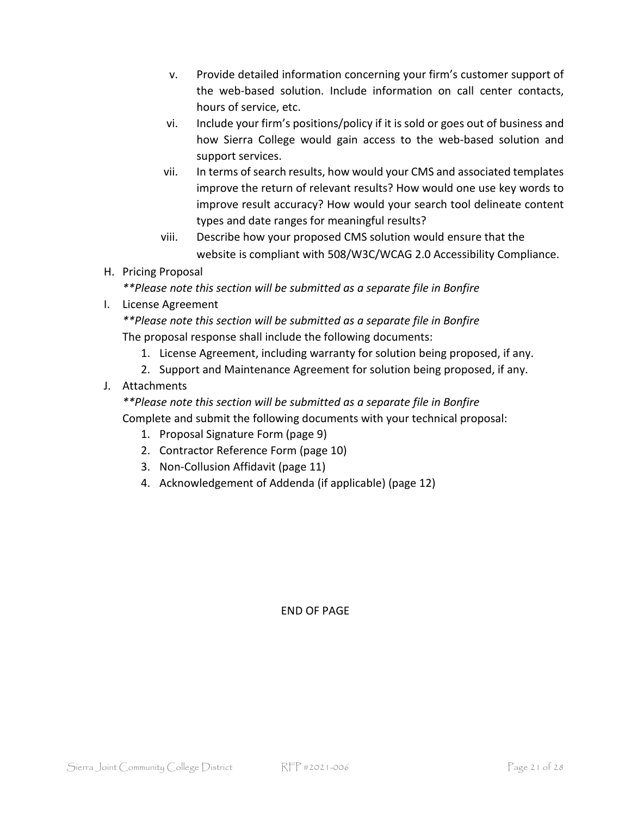- v. Provide detailed information concerning your firm's customer support of the web-based solution. Include information on call center contacts, hours of service, etc.
- vi. Include your firm's positions/policy if it is sold or goes out of business and how Sierra College would gain access to the web-based solution and support services.
- vii. In terms of search results, how would your CMS and associated templates improve the return of relevant results? How would one use key words to improve result accuracy? How would your search tool delineate content types and date ranges for meaningful results?
- viii. Describe how your proposed CMS solution would ensure that the website is compliant with 508/W3C/WCAG 2.0 Accessibility Compliance.
- H. Pricing Proposal

*\*\*Please note this section will be submitted as a separate file in Bonfire* 

I. License Agreement

*\*\*Please note this section will be submitted as a separate file in Bonfire*  The proposal response shall include the following documents:

- 1. License Agreement, including warranty for solution being proposed, if any.
- 2. Support and Maintenance Agreement for solution being proposed, if any.
- J. Attachments

*\*\*Please note this section will be submitted as a separate file in Bonfire*  Complete and submit the following documents with your technical proposal:

- 1. Proposal Signature Form (page 9)
- 2. Contractor Reference Form (page 10)
- 3. Non-Collusion Affidavit (page 11)
- 4. Acknowledgement of Addenda (if applicable) (page 12)

### END OF PAGE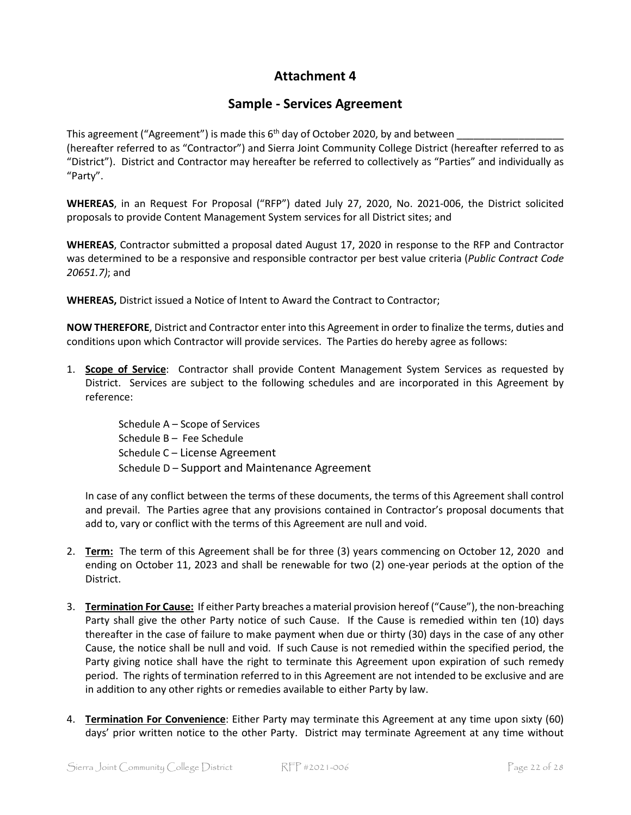### **Attachment 4**

### **Sample - Services Agreement**

This agreement ("Agreement") is made this  $6<sup>th</sup>$  day of October 2020, by and between (hereafter referred to as "Contractor") and Sierra Joint Community College District (hereafter referred to as "District"). District and Contractor may hereafter be referred to collectively as "Parties" and individually as "Party".

**WHEREAS**, in an Request For Proposal ("RFP") dated July 27, 2020, No. 2021-006, the District solicited proposals to provide Content Management System services for all District sites; and

**WHEREAS**, Contractor submitted a proposal dated August 17, 2020 in response to the RFP and Contractor was determined to be a responsive and responsible contractor per best value criteria (*Public Contract Code 20651.7)*; and

**WHEREAS,** District issued a Notice of Intent to Award the Contract to Contractor;

**NOW THEREFORE**, District and Contractor enter into this Agreement in order to finalize the terms, duties and conditions upon which Contractor will provide services. The Parties do hereby agree as follows:

1. **Scope of Service**: Contractor shall provide Content Management System Services as requested by District. Services are subject to the following schedules and are incorporated in this Agreement by reference:

> Schedule A – Scope of Services Schedule B – Fee Schedule Schedule C – License Agreement Schedule D – Support and Maintenance Agreement

In case of any conflict between the terms of these documents, the terms of this Agreement shall control and prevail. The Parties agree that any provisions contained in Contractor's proposal documents that add to, vary or conflict with the terms of this Agreement are null and void.

- 2. **Term:** The term of this Agreement shall be for three (3) years commencing on October 12, 2020 and ending on October 11, 2023 and shall be renewable for two (2) one-year periods at the option of the District.
- 3. **Termination For Cause:** If either Party breaches a material provision hereof ("Cause"), the non-breaching Party shall give the other Party notice of such Cause. If the Cause is remedied within ten (10) days thereafter in the case of failure to make payment when due or thirty (30) days in the case of any other Cause, the notice shall be null and void. If such Cause is not remedied within the specified period, the Party giving notice shall have the right to terminate this Agreement upon expiration of such remedy period. The rights of termination referred to in this Agreement are not intended to be exclusive and are in addition to any other rights or remedies available to either Party by law.
- 4. **Termination For Convenience**: Either Party may terminate this Agreement at any time upon sixty (60) days' prior written notice to the other Party. District may terminate Agreement at any time without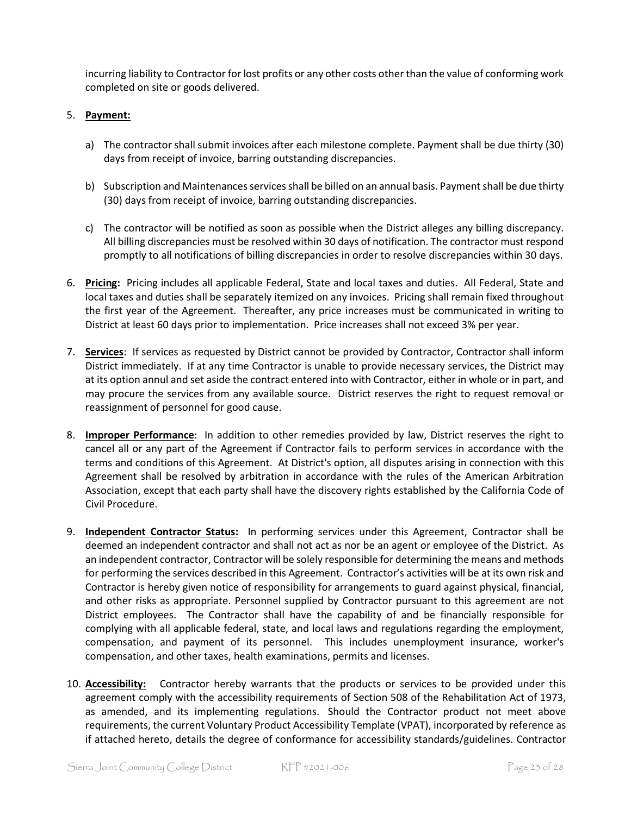incurring liability to Contractor for lost profits or any other costs other than the value of conforming work completed on site or goods delivered.

#### 5. **Payment:**

- a) The contractor shall submit invoices after each milestone complete. Payment shall be due thirty (30) days from receipt of invoice, barring outstanding discrepancies.
- b) Subscription and Maintenances services shall be billed on an annual basis. Payment shall be due thirty (30) days from receipt of invoice, barring outstanding discrepancies.
- c) The contractor will be notified as soon as possible when the District alleges any billing discrepancy. All billing discrepancies must be resolved within 30 days of notification. The contractor must respond promptly to all notifications of billing discrepancies in order to resolve discrepancies within 30 days.
- 6. **Pricing:** Pricing includes all applicable Federal, State and local taxes and duties. All Federal, State and local taxes and duties shall be separately itemized on any invoices. Pricing shall remain fixed throughout the first year of the Agreement. Thereafter, any price increases must be communicated in writing to District at least 60 days prior to implementation. Price increases shall not exceed 3% per year.
- 7. **Services**: If services as requested by District cannot be provided by Contractor, Contractor shall inform District immediately. If at any time Contractor is unable to provide necessary services, the District may at its option annul and set aside the contract entered into with Contractor, either in whole or in part, and may procure the services from any available source. District reserves the right to request removal or reassignment of personnel for good cause.
- 8. **Improper Performance**: In addition to other remedies provided by law, District reserves the right to cancel all or any part of the Agreement if Contractor fails to perform services in accordance with the terms and conditions of this Agreement. At District's option, all disputes arising in connection with this Agreement shall be resolved by arbitration in accordance with the rules of the American Arbitration Association, except that each party shall have the discovery rights established by the California Code of Civil Procedure.
- 9. **Independent Contractor Status:** In performing services under this Agreement, Contractor shall be deemed an independent contractor and shall not act as nor be an agent or employee of the District. As an independent contractor, Contractor will be solely responsible for determining the means and methods for performing the services described in this Agreement. Contractor's activities will be at its own risk and Contractor is hereby given notice of responsibility for arrangements to guard against physical, financial, and other risks as appropriate. Personnel supplied by Contractor pursuant to this agreement are not District employees. The Contractor shall have the capability of and be financially responsible for complying with all applicable federal, state, and local laws and regulations regarding the employment, compensation, and payment of its personnel. This includes unemployment insurance, worker's compensation, and other taxes, health examinations, permits and licenses.
- 10. **Accessibility:** Contractor hereby warrants that the products or services to be provided under this agreement comply with the accessibility requirements of Section 508 of the Rehabilitation Act of 1973, as amended, and its implementing regulations. Should the Contractor product not meet above requirements, the current Voluntary Product Accessibility Template (VPAT), incorporated by reference as if attached hereto, details the degree of conformance for accessibility standards/guidelines. Contractor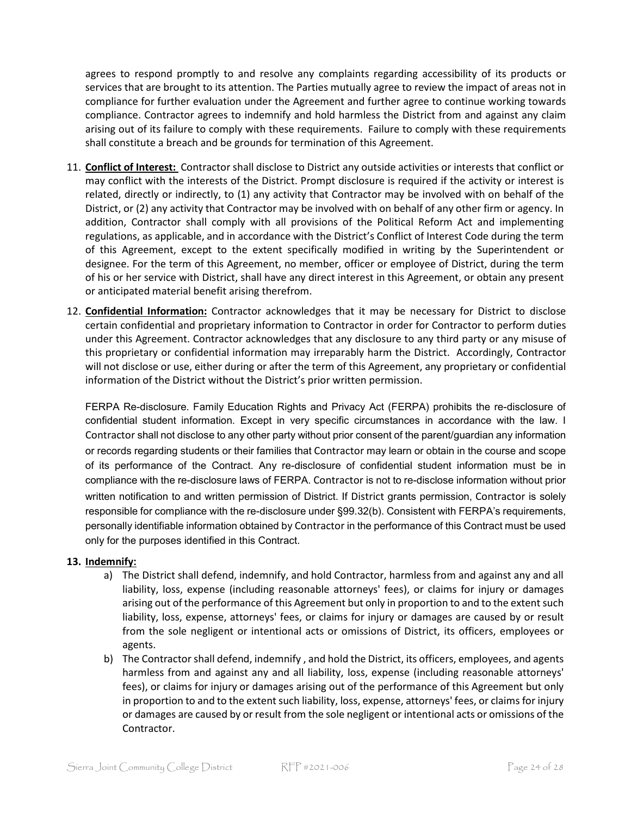agrees to respond promptly to and resolve any complaints regarding accessibility of its products or services that are brought to its attention. The Parties mutually agree to review the impact of areas not in compliance for further evaluation under the Agreement and further agree to continue working towards compliance. Contractor agrees to indemnify and hold harmless the District from and against any claim arising out of its failure to comply with these requirements. Failure to comply with these requirements shall constitute a breach and be grounds for termination of this Agreement.

- 11. **Conflict of Interest:** Contractor shall disclose to District any outside activities or interests that conflict or may conflict with the interests of the District. Prompt disclosure is required if the activity or interest is related, directly or indirectly, to (1) any activity that Contractor may be involved with on behalf of the District, or (2) any activity that Contractor may be involved with on behalf of any other firm or agency. In addition, Contractor shall comply with all provisions of the Political Reform Act and implementing regulations, as applicable, and in accordance with the District's Conflict of Interest Code during the term of this Agreement, except to the extent specifically modified in writing by the Superintendent or designee. For the term of this Agreement, no member, officer or employee of District, during the term of his or her service with District, shall have any direct interest in this Agreement, or obtain any present or anticipated material benefit arising therefrom.
- 12. **Confidential Information:** Contractor acknowledges that it may be necessary for District to disclose certain confidential and proprietary information to Contractor in order for Contractor to perform duties under this Agreement. Contractor acknowledges that any disclosure to any third party or any misuse of this proprietary or confidential information may irreparably harm the District. Accordingly, Contractor will not disclose or use, either during or after the term of this Agreement, any proprietary or confidential information of the District without the District's prior written permission.

FERPA Re-disclosure. Family Education Rights and Privacy Act (FERPA) prohibits the re-disclosure of confidential student information. Except in very specific circumstances in accordance with the law. I Contractor shall not disclose to any other party without prior consent of the parent/guardian any information or records regarding students or their families that Contractor may learn or obtain in the course and scope of its performance of the Contract. Any re-disclosure of confidential student information must be in compliance with the re-disclosure laws of FERPA. Contractor is not to re-disclose information without prior written notification to and written permission of District. If District grants permission, Contractor is solely responsible for compliance with the re-disclosure under §99.32(b). Consistent with FERPA's requirements, personally identifiable information obtained by Contractor in the performance of this Contract must be used only for the purposes identified in this Contract.

#### **13. Indemnify:**

- a) The District shall defend, indemnify, and hold Contractor, harmless from and against any and all liability, loss, expense (including reasonable attorneys' fees), or claims for injury or damages arising out of the performance of this Agreement but only in proportion to and to the extent such liability, loss, expense, attorneys' fees, or claims for injury or damages are caused by or result from the sole negligent or intentional acts or omissions of District, its officers, employees or agents.
- b) The Contractor shall defend, indemnify , and hold the District, its officers, employees, and agents harmless from and against any and all liability, loss, expense (including reasonable attorneys' fees), or claims for injury or damages arising out of the performance of this Agreement but only in proportion to and to the extent such liability, loss, expense, attorneys' fees, or claims for injury or damages are caused by or result from the sole negligent or intentional acts or omissions of the Contractor.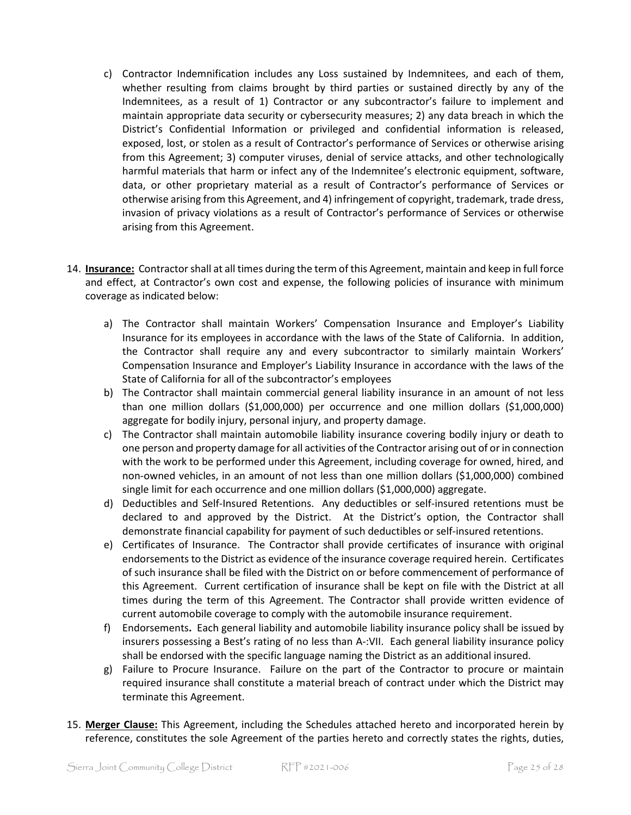- c) Contractor Indemnification includes any Loss sustained by Indemnitees, and each of them, whether resulting from claims brought by third parties or sustained directly by any of the Indemnitees, as a result of 1) Contractor or any subcontractor's failure to implement and maintain appropriate data security or cybersecurity measures; 2) any data breach in which the District's Confidential Information or privileged and confidential information is released, exposed, lost, or stolen as a result of Contractor's performance of Services or otherwise arising from this Agreement; 3) computer viruses, denial of service attacks, and other technologically harmful materials that harm or infect any of the Indemnitee's electronic equipment, software, data, or other proprietary material as a result of Contractor's performance of Services or otherwise arising from this Agreement, and 4) infringement of copyright, trademark, trade dress, invasion of privacy violations as a result of Contractor's performance of Services or otherwise arising from this Agreement.
- 14. **Insurance:** Contractorshall at all times during the term of this Agreement, maintain and keep in full force and effect, at Contractor's own cost and expense, the following policies of insurance with minimum coverage as indicated below:
	- a) The Contractor shall maintain Workers' Compensation Insurance and Employer's Liability Insurance for its employees in accordance with the laws of the State of California. In addition, the Contractor shall require any and every subcontractor to similarly maintain Workers' Compensation Insurance and Employer's Liability Insurance in accordance with the laws of the State of California for all of the subcontractor's employees
	- b) The Contractor shall maintain commercial general liability insurance in an amount of not less than one million dollars (\$1,000,000) per occurrence and one million dollars (\$1,000,000) aggregate for bodily injury, personal injury, and property damage.
	- c) The Contractor shall maintain automobile liability insurance covering bodily injury or death to one person and property damage for all activities of the Contractor arising out of or in connection with the work to be performed under this Agreement, including coverage for owned, hired, and non-owned vehicles, in an amount of not less than one million dollars (\$1,000,000) combined single limit for each occurrence and one million dollars (\$1,000,000) aggregate.
	- d) Deductibles and Self-Insured Retentions. Any deductibles or self-insured retentions must be declared to and approved by the District. At the District's option, the Contractor shall demonstrate financial capability for payment of such deductibles or self-insured retentions.
	- e) Certificates of Insurance. The Contractor shall provide certificates of insurance with original endorsements to the District as evidence of the insurance coverage required herein. Certificates of such insurance shall be filed with the District on or before commencement of performance of this Agreement. Current certification of insurance shall be kept on file with the District at all times during the term of this Agreement. The Contractor shall provide written evidence of current automobile coverage to comply with the automobile insurance requirement.
	- f) Endorsements**.** Each general liability and automobile liability insurance policy shall be issued by insurers possessing a Best's rating of no less than A-:VII. Each general liability insurance policy shall be endorsed with the specific language naming the District as an additional insured.
	- g) Failure to Procure Insurance. Failure on the part of the Contractor to procure or maintain required insurance shall constitute a material breach of contract under which the District may terminate this Agreement.
- 15. **Merger Clause:** This Agreement, including the Schedules attached hereto and incorporated herein by reference, constitutes the sole Agreement of the parties hereto and correctly states the rights, duties,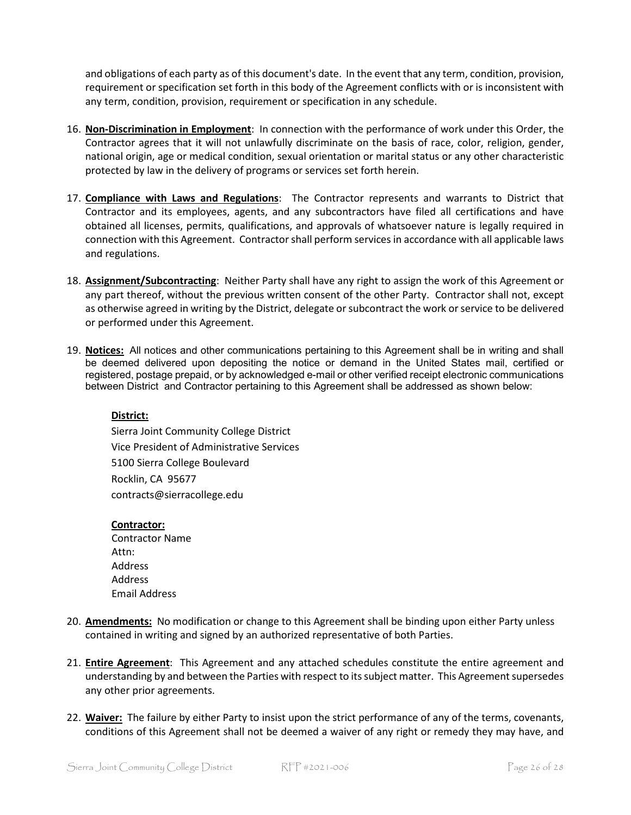and obligations of each party as of this document's date. In the event that any term, condition, provision, requirement or specification set forth in this body of the Agreement conflicts with or is inconsistent with any term, condition, provision, requirement or specification in any schedule.

- 16. **Non-Discrimination in Employment**: In connection with the performance of work under this Order, the Contractor agrees that it will not unlawfully discriminate on the basis of race, color, religion, gender, national origin, age or medical condition, sexual orientation or marital status or any other characteristic protected by law in the delivery of programs or services set forth herein.
- 17. **Compliance with Laws and Regulations**: The Contractor represents and warrants to District that Contractor and its employees, agents, and any subcontractors have filed all certifications and have obtained all licenses, permits, qualifications, and approvals of whatsoever nature is legally required in connection with this Agreement. Contractorshall perform services in accordance with all applicable laws and regulations.
- 18. **Assignment/Subcontracting**: Neither Party shall have any right to assign the work of this Agreement or any part thereof, without the previous written consent of the other Party. Contractor shall not, except as otherwise agreed in writing by the District, delegate or subcontract the work or service to be delivered or performed under this Agreement.
- 19. **Notices:** All notices and other communications pertaining to this Agreement shall be in writing and shall be deemed delivered upon depositing the notice or demand in the United States mail, certified or registered, postage prepaid, or by acknowledged e-mail or other verified receipt electronic communications between District and Contractor pertaining to this Agreement shall be addressed as shown below:

### **District:**

Sierra Joint Community College District Vice President of Administrative Services 5100 Sierra College Boulevard Rocklin, CA 95677 contracts@sierracollege.edu

#### **Contractor:**

- Contractor Name Attn: Address Address Email Address
- 20. **Amendments:** No modification or change to this Agreement shall be binding upon either Party unless contained in writing and signed by an authorized representative of both Parties.
- 21. **Entire Agreement**: This Agreement and any attached schedules constitute the entire agreement and understanding by and between the Parties with respect to its subject matter. This Agreement supersedes any other prior agreements.
- 22. **Waiver:** The failure by either Party to insist upon the strict performance of any of the terms, covenants, conditions of this Agreement shall not be deemed a waiver of any right or remedy they may have, and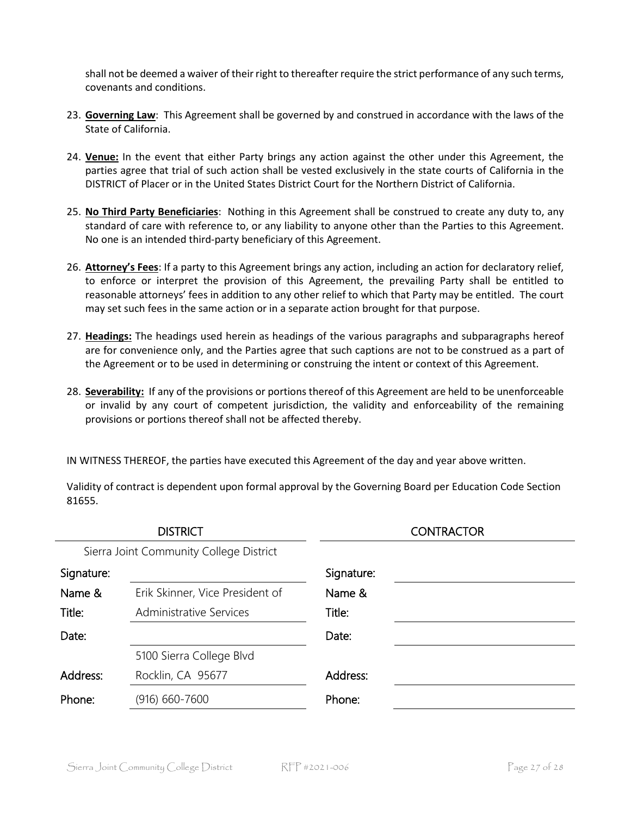shall not be deemed a waiver of their right to thereafter require the strict performance of any such terms, covenants and conditions.

- 23. **Governing Law**: This Agreement shall be governed by and construed in accordance with the laws of the State of California.
- 24. **Venue:** In the event that either Party brings any action against the other under this Agreement, the parties agree that trial of such action shall be vested exclusively in the state courts of California in the DISTRICT of Placer or in the United States District Court for the Northern District of California.
- 25. **No Third Party Beneficiaries**: Nothing in this Agreement shall be construed to create any duty to, any standard of care with reference to, or any liability to anyone other than the Parties to this Agreement. No one is an intended third-party beneficiary of this Agreement.
- 26. **Attorney's Fees**: If a party to this Agreement brings any action, including an action for declaratory relief, to enforce or interpret the provision of this Agreement, the prevailing Party shall be entitled to reasonable attorneys' fees in addition to any other relief to which that Party may be entitled. The court may set such fees in the same action or in a separate action brought for that purpose.
- 27. **Headings:** The headings used herein as headings of the various paragraphs and subparagraphs hereof are for convenience only, and the Parties agree that such captions are not to be construed as a part of the Agreement or to be used in determining or construing the intent or context of this Agreement.
- 28. **Severability:** If any of the provisions or portions thereof of this Agreement are held to be unenforceable or invalid by any court of competent jurisdiction, the validity and enforceability of the remaining provisions or portions thereof shall not be affected thereby.

IN WITNESS THEREOF, the parties have executed this Agreement of the day and year above written.

| <b>DISTRICT</b> |                                         |            | <b>CONTRACTOR</b> |
|-----------------|-----------------------------------------|------------|-------------------|
|                 | Sierra Joint Community College District |            |                   |
| Signature:      |                                         | Signature: |                   |
| Name &          | Erik Skinner, Vice President of         | Name &     |                   |
| Title:          | <b>Administrative Services</b>          | Title:     |                   |
| Date:           |                                         | Date:      |                   |
|                 | 5100 Sierra College Blvd                |            |                   |
| Address:        | Rocklin, CA 95677                       | Address:   |                   |
| Phone:          | $(916) 660 - 7600$                      | Phone:     |                   |

Validity of contract is dependent upon formal approval by the Governing Board per Education Code Section 81655.